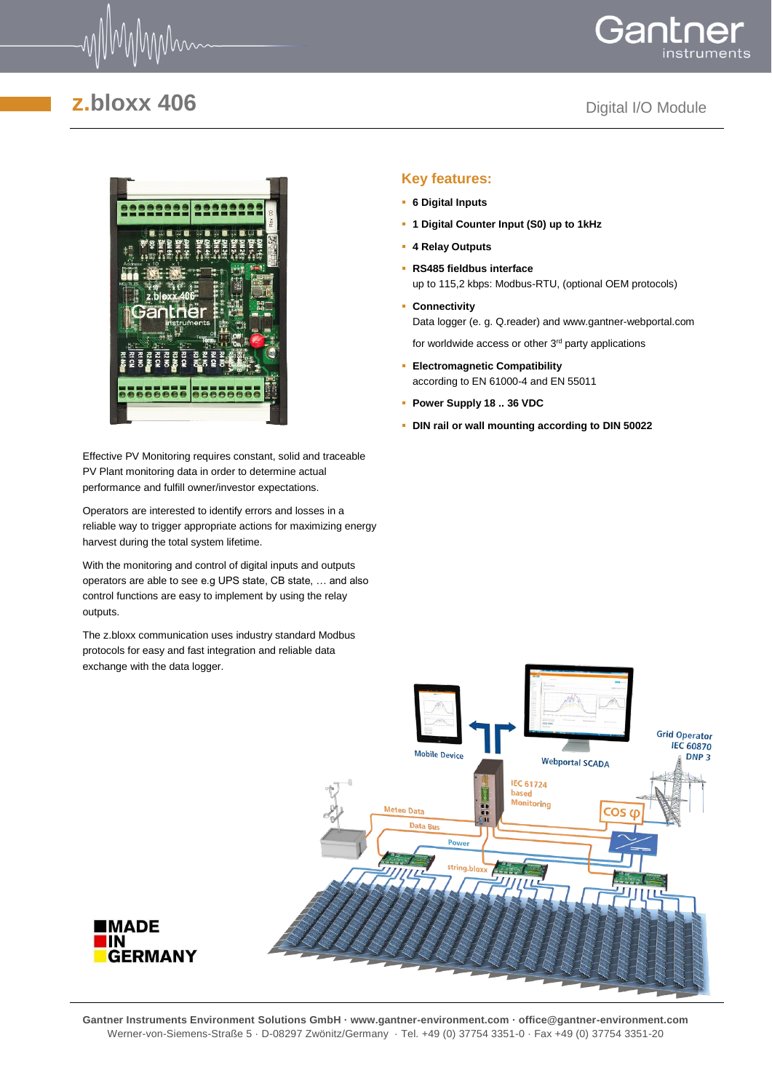





Effective PV Monitoring requires constant, solid and traceable PV Plant monitoring data in order to determine actual performance and fulfill owner/investor expectations.

Operators are interested to identify errors and losses in a reliable way to trigger appropriate actions for maximizing energy harvest during the total system lifetime.

With the monitoring and control of digital inputs and outputs operators are able to see e.g UPS state, CB state, … and also control functions are easy to implement by using the relay outputs.

The z.bloxx communication uses industry standard Modbus protocols for easy and fast integration and reliable data exchange with the data logger.

#### **Key features:**

- **6 Digital Inputs**
- **1 Digital Counter Input (S0) up to 1kHz**
- **4 Relay Outputs**
- **RS485 fieldbus interface** up to 115,2 kbps: Modbus-RTU, (optional OEM protocols)
- **Connectivity**  Data logger (e. g. Q.reader) and www.gantner-webportal.com

for worldwide access or other  $3<sup>rd</sup>$  party applications

- **Electromagnetic Compatibility** according to EN 61000-4 and EN 55011
- **Power Supply 18 .. 36 VDC**
- **DIN rail or wall mounting according to DIN 50022**



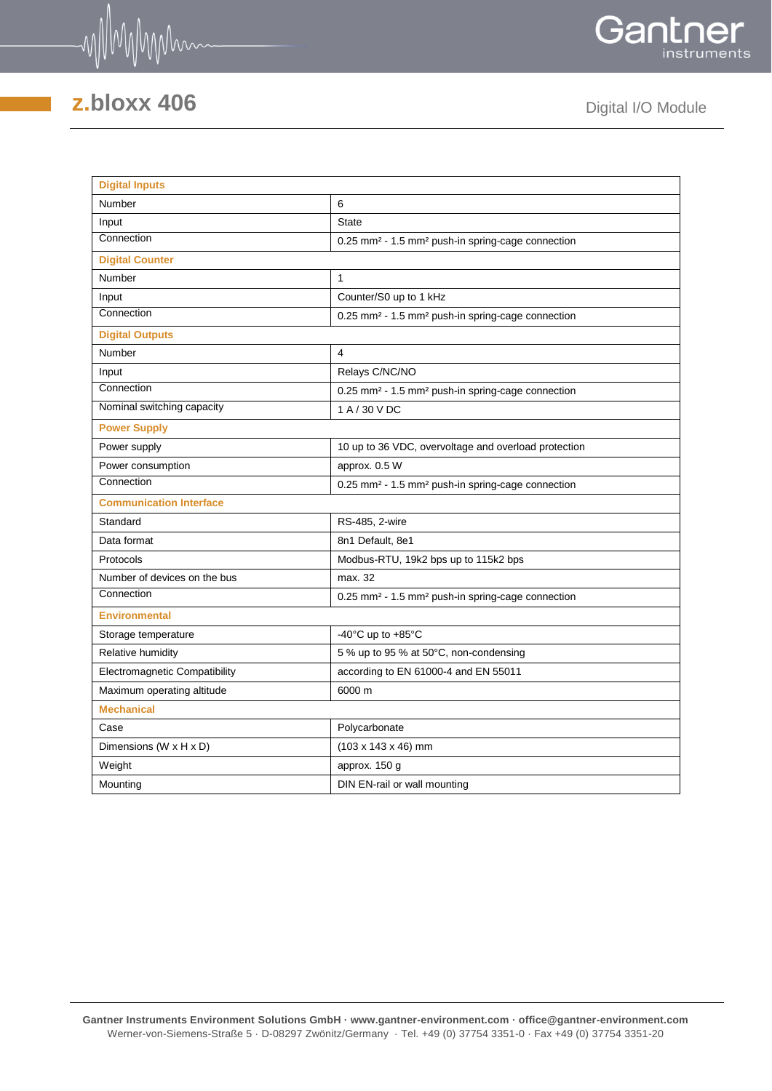



| <b>Digital Inputs</b>              |                                                                           |  |  |  |  |  |
|------------------------------------|---------------------------------------------------------------------------|--|--|--|--|--|
| Number                             | 6                                                                         |  |  |  |  |  |
| Input                              | <b>State</b>                                                              |  |  |  |  |  |
| Connection                         | 0.25 mm <sup>2</sup> - 1.5 mm <sup>2</sup> push-in spring-cage connection |  |  |  |  |  |
| <b>Digital Counter</b>             |                                                                           |  |  |  |  |  |
| Number                             | $\mathbf{1}$                                                              |  |  |  |  |  |
| Input                              | Counter/S0 up to 1 kHz                                                    |  |  |  |  |  |
| Connection                         | 0.25 mm <sup>2</sup> - 1.5 mm <sup>2</sup> push-in spring-cage connection |  |  |  |  |  |
| <b>Digital Outputs</b>             |                                                                           |  |  |  |  |  |
| <b>Number</b>                      | 4                                                                         |  |  |  |  |  |
| Input                              | Relays C/NC/NO                                                            |  |  |  |  |  |
| Connection                         | 0.25 mm <sup>2</sup> - 1.5 mm <sup>2</sup> push-in spring-cage connection |  |  |  |  |  |
| Nominal switching capacity         | 1 A / 30 V DC                                                             |  |  |  |  |  |
| <b>Power Supply</b>                |                                                                           |  |  |  |  |  |
| Power supply                       | 10 up to 36 VDC, overvoltage and overload protection                      |  |  |  |  |  |
| Power consumption                  | approx. 0.5 W                                                             |  |  |  |  |  |
| Connection                         | 0.25 mm <sup>2</sup> - 1.5 mm <sup>2</sup> push-in spring-cage connection |  |  |  |  |  |
| <b>Communication Interface</b>     |                                                                           |  |  |  |  |  |
| Standard                           | RS-485, 2-wire                                                            |  |  |  |  |  |
| Data format                        | 8n1 Default, 8e1                                                          |  |  |  |  |  |
| Protocols                          | Modbus-RTU, 19k2 bps up to 115k2 bps                                      |  |  |  |  |  |
| Number of devices on the bus       | max. 32                                                                   |  |  |  |  |  |
| Connection                         | 0.25 mm <sup>2</sup> - 1.5 mm <sup>2</sup> push-in spring-cage connection |  |  |  |  |  |
| <b>Environmental</b>               |                                                                           |  |  |  |  |  |
| Storage temperature                | -40 $^{\circ}$ C up to +85 $^{\circ}$ C                                   |  |  |  |  |  |
| Relative humidity                  | 5 % up to 95 % at 50°C, non-condensing                                    |  |  |  |  |  |
| Electromagnetic Compatibility      | according to EN 61000-4 and EN 55011                                      |  |  |  |  |  |
| Maximum operating altitude         | 6000 m                                                                    |  |  |  |  |  |
| <b>Mechanical</b>                  |                                                                           |  |  |  |  |  |
| Case                               | Polycarbonate                                                             |  |  |  |  |  |
| Dimensions $(W \times H \times D)$ | $(103 \times 143 \times 46)$ mm                                           |  |  |  |  |  |
| Weight                             | approx. 150 g                                                             |  |  |  |  |  |
| Mounting                           | DIN EN-rail or wall mounting                                              |  |  |  |  |  |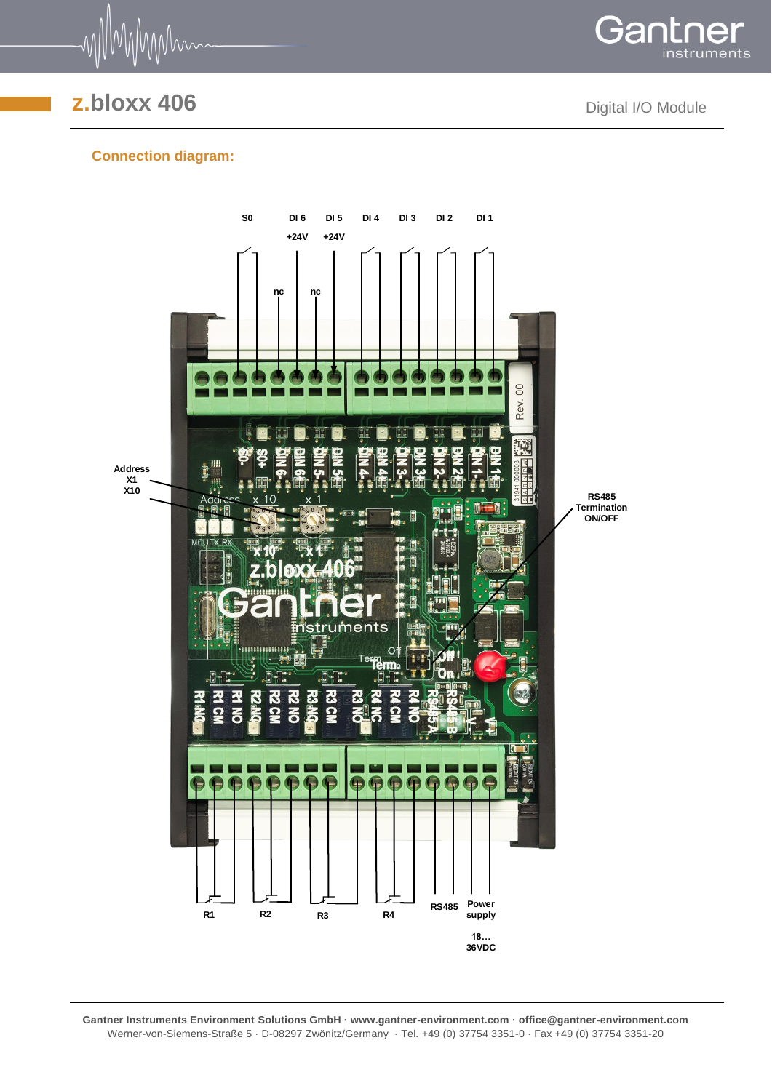

Gant instruments

#### **Connection diagram:**



**Gantner Instruments Environment Solutions GmbH · www.gantner-environment.com · office@gantner-environment.com** Werner-von-Siemens-Straße 5 · D-08297 Zwönitz/Germany · Tel. +49 (0) 37754 3351-0 · Fax +49 (0) 37754 3351-20